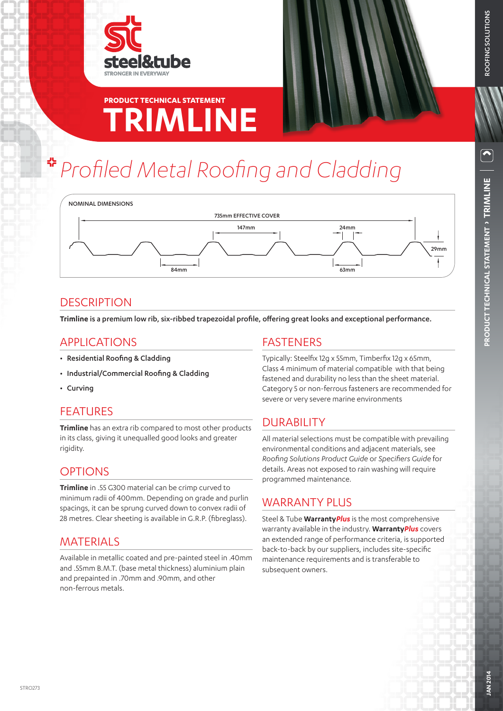

## **TRIMLINE PRODUCT TECHNICAL STATEMENT**

# *Profiled Metal Roofing and Cladding*

NOMINAL DIMENSIONS735mm EFFECTIVE COVER 147mm 24mm  $\downarrow$ 29mm ł 84mm 63mm

## **DESCRIPTION**

**Trimline** is a premium low rib, six-ribbed trapezoidal profile, offering great looks and exceptional performance.

## APPLICATIONS

- Residential Roofing & Cladding
- Industrial/Commercial Roofing & Cladding
- Curving

## FEATURES

**Trimline** has an extra rib compared to most other products in its class, giving it unequalled good looks and greater rigidity.

## **OPTIONS**

**Trimline** in .55 G300 material can be crimp curved to minimum radii of 400mm. Depending on grade and purlin spacings, it can be sprung curved down to convex radii of 28 metres. Clear sheeting is available in G.R.P. (fibreglass).

## **MATERIALS**

Available in metallic coated and pre-painted steel in .40mm and .55mm B.M.T. (base metal thickness) aluminium plain and prepainted in .70mm and .90mm, and other non-ferrous metals.

## FASTENERS

Typically: Steelfix 12g x 55mm, Timberfix 12g x 65mm, Class 4 minimum of material compatible with that being fastened and durability no less than the sheet material. Category 5 or non-ferrous fasteners are recommended for severe or very severe marine environments

## DURABILITY

All material selections must be compatible with prevailing environmental conditions and adjacent materials, see *Roofing Solutions Product Guide* or *Specifiers Guide* for details. Areas not exposed to rain washing will require programmed maintenance.

## WARRANTY PLUS

Steel & Tube **Warranty***Plus* is the most comprehensive warranty available in the industry. **Warranty***Plus* covers an extended range of performance criteria, is supported back-to-back by our suppliers, includes site-specific maintenance requirements and is transferable to subsequent owners.